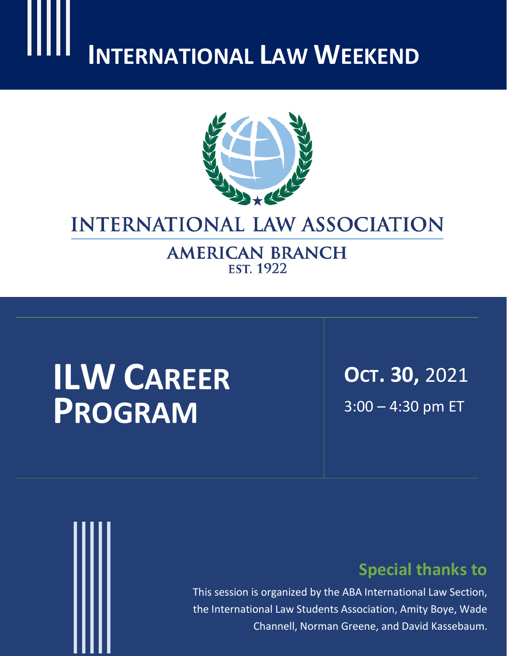# **INTERNATIONAL LAW WEEKEND**



# **INTERNATIONAL LAW ASSOCIATION**

**AMERICAN BRANCH EST. 1922** 

# **ILW CAREER PROGRAM**

**OCT. 30,** 2021 3:00 – 4:30 pm ET



# **Special thanks to**

This session is organized by the ABA International Law Section, the International Law Students Association, Amity Boye, Wade Channell, Norman Greene, and David Kassebaum.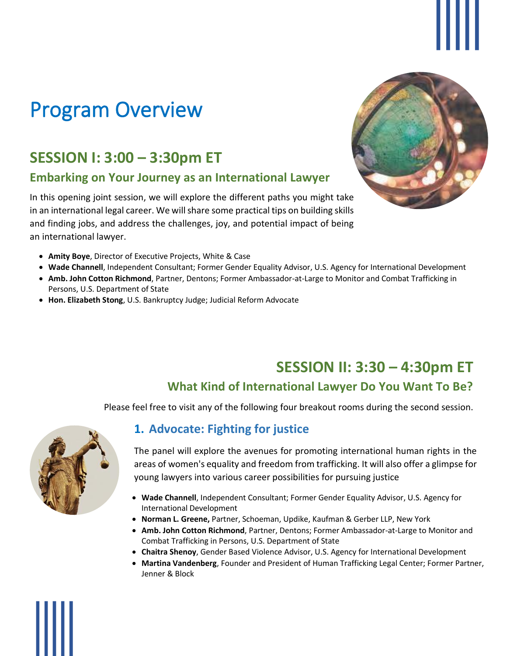# Program Overview

# **SESSION I: 3:00 – 3:30pm ET**

## **Embarking on Your Journey as an International Lawyer**

In this opening joint session, we will explore the different paths you might take in an international legal career. We will share some practical tips on building skills and finding jobs, and address the challenges, joy, and potential impact of being an international lawyer.



- **Amity Boye**, Director of Executive Projects, White & Case
- **Wade Channell**, Independent Consultant; Former Gender Equality Advisor, U.S. Agency for International Development
- **Amb. John Cotton Richmond**, Partner, Dentons; Former Ambassador-at-Large to Monitor and Combat Trafficking in Persons, U.S. Department of State
- **Hon. Elizabeth Stong**, U.S. Bankruptcy Judge; Judicial Reform Advocate

# **SESSION II: 3:30 – 4:30pm ET**

# **What Kind of International Lawyer Do You Want To Be?**

Please feel free to visit any of the following four breakout rooms during the second session.



# **1. Advocate: Fighting for justice**

The panel will explore the avenues for promoting international human rights in the areas of women's equality and freedom from trafficking. It will also offer a glimpse for young lawyers into various career possibilities for pursuing justice

- **Wade Channell**, Independent Consultant; Former Gender Equality Advisor, U.S. Agency for International Development
- **Norman L. Greene,** Partner, Schoeman, Updike, Kaufman & Gerber LLP, New York
- **Amb. John Cotton Richmond**, Partner, Dentons; Former Ambassador-at-Large to Monitor and Combat Trafficking in Persons, U.S. Department of State
- **Chaitra Shenoy**, Gender Based Violence Advisor, U.S. Agency for International Development
- **Martina Vandenberg**, Founder and President of Human Trafficking Legal Center; Former Partner, Jenner & Block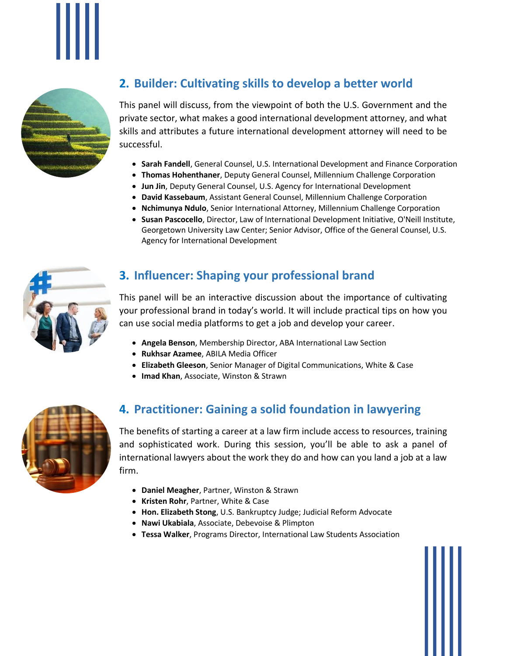



# **2. Builder: Cultivating skills to develop a better world**

This panel will discuss, from the viewpoint of both the U.S. Government and the private sector, what makes a good international development attorney, and what skills and attributes a future international development attorney will need to be successful.

- **Sarah Fandell**, General Counsel, U.S. International Development and Finance Corporation
- **Thomas Hohenthaner**, Deputy General Counsel, Millennium Challenge Corporation
- **Jun Jin**, Deputy General Counsel, U.S. Agency for International Development
- **David Kassebaum**, Assistant General Counsel, Millennium Challenge Corporation
- **Nchimunya Ndulo**, Senior International Attorney, Millennium Challenge Corporation
- **Susan Pascocello**, Director, Law of International Development Initiative, O'Neill Institute, Georgetown University Law Center; Senior Advisor, Office of the General Counsel, U.S. Agency for International Development



## **3. Influencer: Shaping your professional brand**

This panel will be an interactive discussion about the importance of cultivating your professional brand in today's world. It will include practical tips on how you can use social media platforms to get a job and develop your career.

- **Angela Benson**, Membership Director, ABA International Law Section
- **Rukhsar Azamee**, ABILA Media Officer
- **Elizabeth Gleeson**, Senior Manager of Digital Communications, White & Case
- **Imad Khan**, Associate, Winston & Strawn



# **4. Practitioner: Gaining a solid foundation in lawyering**

The benefits of starting a career at a law firm include access to resources, training and sophisticated work. During this session, you'll be able to ask a panel of international lawyers about the work they do and how can you land a job at a law firm.

- **Daniel Meagher**, Partner, Winston & Strawn
- **Kristen Rohr**, Partner, White & Case
- **Hon. Elizabeth Stong**, U.S. Bankruptcy Judge; Judicial Reform Advocate
- **Nawi Ukabiala**, Associate, Debevoise & Plimpton
- **Tessa Walker**, Programs Director, International Law Students Association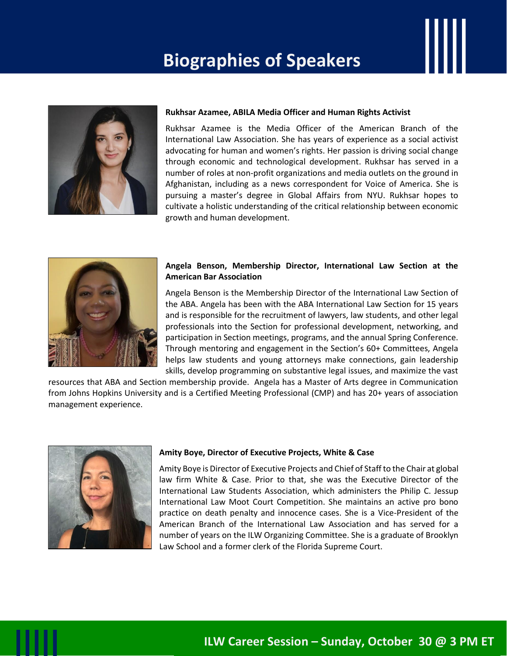# **Biographies of Speakers**



#### **Rukhsar Azamee, ABILA Media Officer and Human Rights Activist**

Rukhsar Azamee is the Media Officer of the American Branch of the International Law Association. She has years of experience as a social activist advocating for human and women's rights. Her passion is driving social change through economic and technological development. Rukhsar has served in a number of roles at non-profit organizations and media outlets on the ground in Afghanistan, including as a news correspondent for Voice of America. She is pursuing a master's degree in Global Affairs from NYU. Rukhsar hopes to cultivate a holistic understanding of the critical relationship between economic growth and human development.



#### **Angela Benson, Membership Director, International Law Section at the American Bar Association**

Angela Benson is the Membership Director of the International Law Section of the ABA. Angela has been with the ABA International Law Section for 15 years and is responsible for the recruitment of lawyers, law students, and other legal professionals into the Section for professional development, networking, and participation in Section meetings, programs, and the annual Spring Conference. Through mentoring and engagement in the Section's 60+ Committees, Angela helps law students and young attorneys make connections, gain leadership skills, develop programming on substantive legal issues, and maximize the vast

resources that ABA and Section membership provide. Angela has a Master of Arts degree in Communication from Johns Hopkins University and is a Certified Meeting Professional (CMP) and has 20+ years of association management experience.



#### **Amity Boye, Director of Executive Projects, White & Case**

Amity Boye is Director of Executive Projects and Chief of Staff to the Chair at global law firm White & Case. Prior to that, she was the Executive Director of the International Law Students Association, which administers the Philip C. Jessup International Law Moot Court Competition. She maintains an active pro bono practice on death penalty and innocence cases. She is a Vice-President of the American Branch of the International Law Association and has served for a number of years on the ILW Organizing Committee. She is a graduate of Brooklyn Law School and a former clerk of the Florida Supreme Court.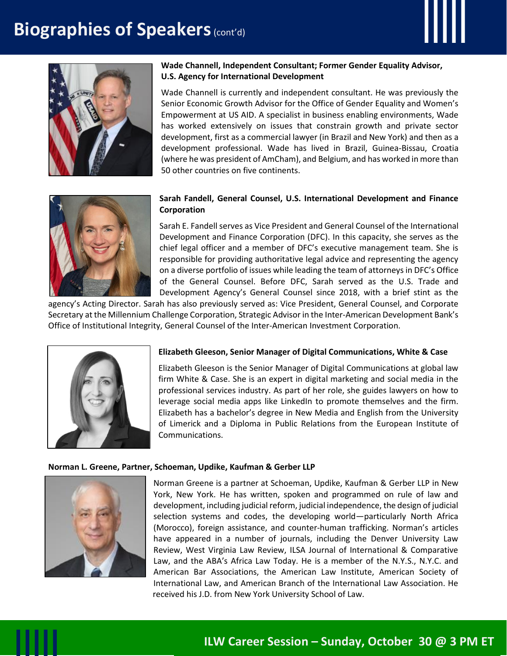# **Biographies of Speakers (cont'd)**





#### **Wade Channell, Independent Consultant; Former Gender Equality Advisor, U.S. Agency for International Development**

Wade Channell is currently and independent consultant. He was previously the Senior Economic Growth Advisor for the Office of Gender Equality and Women's Empowerment at US AID. A specialist in business enabling environments, Wade has worked extensively on issues that constrain growth and private sector development, first as a commercial lawyer (in Brazil and New York) and then as a development professional. Wade has lived in Brazil, Guinea-Bissau, Croatia (where he was president of AmCham), and Belgium, and has worked in more than 50 other countries on five continents.



#### **Sarah Fandell, General Counsel, U.S. International Development and Finance Corporation**

Sarah E. Fandell serves as Vice President and General Counsel of the International Development and Finance Corporation (DFC). In this capacity, she serves as the chief legal officer and a member of DFC's executive management team. She is responsible for providing authoritative legal advice and representing the agency on a diverse portfolio of issues while leading the team of attorneys in DFC's Office of the General Counsel. Before DFC, Sarah served as the U.S. Trade and Development Agency's General Counsel since 2018, with a brief stint as the

agency's Acting Director. Sarah has also previously served as: Vice President, General Counsel, and Corporate Secretary at the Millennium Challenge Corporation, Strategic Advisor in the Inter-American Development Bank's Office of Institutional Integrity, General Counsel of the Inter-American Investment Corporation.



#### **Elizabeth Gleeson, Senior Manager of Digital Communications, White & Case**

Elizabeth Gleeson is the Senior Manager of Digital Communications at global law firm White & Case. She is an expert in digital marketing and social media in the professional services industry. As part of her role, she guides lawyers on how to leverage social media apps like LinkedIn to promote themselves and the firm. Elizabeth has a bachelor's degree in New Media and English from the University of Limerick and a Diploma in Public Relations from the European Institute of Communications.

#### **Norman L. Greene, Partner, Schoeman, Updike, Kaufman & Gerber LLP**



Norman Greene is a partner at Schoeman, Updike, Kaufman & Gerber LLP in New York, New York. He has written, spoken and programmed on rule of law and development, including judicial reform, judicial independence, the design of judicial selection systems and codes, the developing world—particularly North Africa (Morocco), foreign assistance, and counter-human trafficking. Norman's articles have appeared in a number of journals, including the Denver University Law Review, West Virginia Law Review, ILSA Journal of International & Comparative Law, and the ABA's Africa Law Today. He is a member of the N.Y.S., N.Y.C. and American Bar Associations, the American Law Institute, American Society of International Law, and American Branch of the International Law Association. He received his J.D. from New York University School of Law.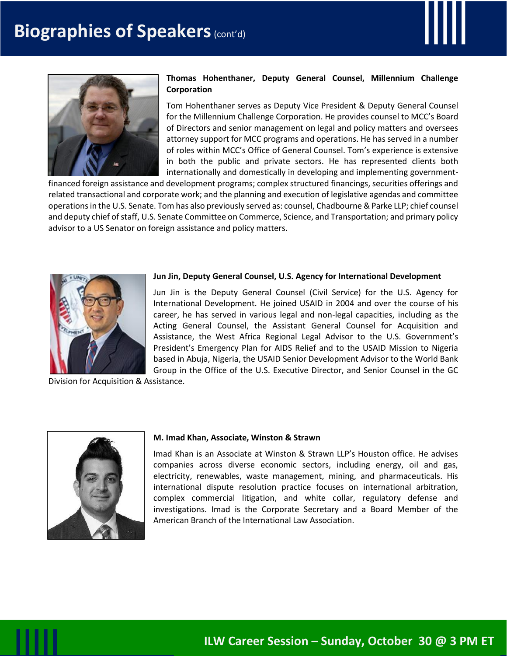



#### **Thomas Hohenthaner, Deputy General Counsel, Millennium Challenge Corporation**

Tom Hohenthaner serves as Deputy Vice President & Deputy General Counsel for the Millennium Challenge Corporation. He provides counsel to MCC's Board of Directors and senior management on legal and policy matters and oversees attorney support for MCC programs and operations. He has served in a number of roles within MCC's Office of General Counsel. Tom's experience is extensive in both the public and private sectors. He has represented clients both internationally and domestically in developing and implementing government-

financed foreign assistance and development programs; complex structured financings, securities offerings and related transactional and corporate work; and the planning and execution of legislative agendas and committee operations in the U.S. Senate. Tom has also previously served as: counsel, Chadbourne & Parke LLP; chief counsel and deputy chief of staff, U.S. Senate Committee on Commerce, Science, and Transportation; and primary policy advisor to a US Senator on foreign assistance and policy matters.



#### **Jun Jin, Deputy General Counsel, U.S. Agency for International Development**

Jun Jin is the Deputy General Counsel (Civil Service) for the U.S. Agency for International Development. He joined USAID in 2004 and over the course of his career, he has served in various legal and non-legal capacities, including as the Acting General Counsel, the Assistant General Counsel for Acquisition and Assistance, the West Africa Regional Legal Advisor to the U.S. Government's President's Emergency Plan for AIDS Relief and to the USAID Mission to Nigeria based in Abuja, Nigeria, the USAID Senior Development Advisor to the World Bank Group in the Office of the U.S. Executive Director, and Senior Counsel in the GC

Division for Acquisition & Assistance.



#### **M. Imad Khan, Associate, Winston & Strawn**

Imad Khan is an Associate at Winston & Strawn LLP's Houston office. He advises companies across diverse economic sectors, including energy, oil and gas, electricity, renewables, waste management, mining, and pharmaceuticals. His international dispute resolution practice focuses on international arbitration, complex commercial litigation, and white collar, regulatory defense and investigations. Imad is the Corporate Secretary and a Board Member of the American Branch of the International Law Association.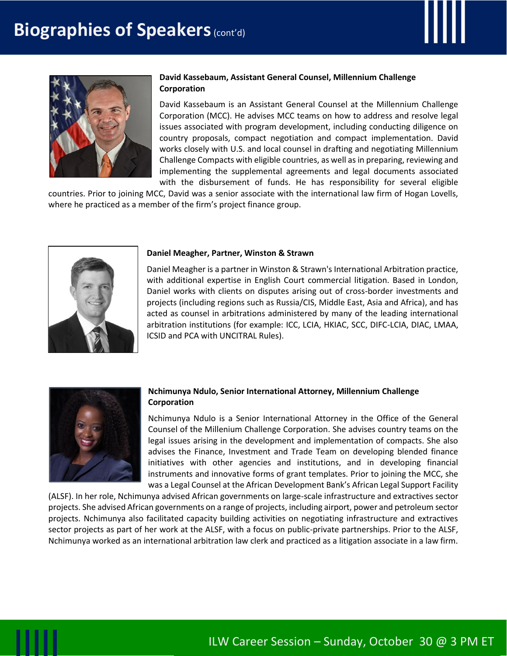



#### **David Kassebaum, Assistant General Counsel, Millennium Challenge Corporation**

David Kassebaum is an Assistant General Counsel at the Millennium Challenge Corporation (MCC). He advises MCC teams on how to address and resolve legal issues associated with program development, including conducting diligence on country proposals, compact negotiation and compact implementation. David works closely with U.S. and local counsel in drafting and negotiating Millennium Challenge Compacts with eligible countries, as well as in preparing, reviewing and implementing the supplemental agreements and legal documents associated with the disbursement of funds. He has responsibility for several eligible

countries. Prior to joining MCC, David was a senior associate with the international law firm of Hogan Lovells, where he practiced as a member of the firm's project finance group.



#### **Daniel Meagher, Partner, Winston & Strawn**

Daniel Meagher is a partner in Winston & Strawn's International Arbitration practice, with additional expertise in English Court commercial litigation. Based in London, Daniel works with clients on disputes arising out of cross-border investments and projects (including regions such as Russia/CIS, Middle East, Asia and Africa), and has acted as counsel in arbitrations administered by many of the leading international arbitration institutions (for example: ICC, LCIA, HKIAC, SCC, DIFC-LCIA, DIAC, LMAA, ICSID and PCA with UNCITRAL Rules).



#### **Nchimunya Ndulo, Senior International Attorney, Millennium Challenge Corporation**

Nchimunya Ndulo is a Senior International Attorney in the Office of the General Counsel of the Millenium Challenge Corporation. She advises country teams on the legal issues arising in the development and implementation of compacts. She also advises the Finance, Investment and Trade Team on developing blended finance initiatives with other agencies and institutions, and in developing financial instruments and innovative forms of grant templates. Prior to joining the MCC, she was a Legal Counsel at the African Development Bank's African Legal Support Facility

(ALSF). In her role, Nchimunya advised African governments on large-scale infrastructure and extractives sector projects. She advised African governments on a range of projects, including airport, power and petroleum sector projects. Nchimunya also facilitated capacity building activities on negotiating infrastructure and extractives sector projects as part of her work at the ALSF, with a focus on public-private partnerships. Prior to the ALSF, Nchimunya worked as an international arbitration law clerk and practiced as a litigation associate in a law firm.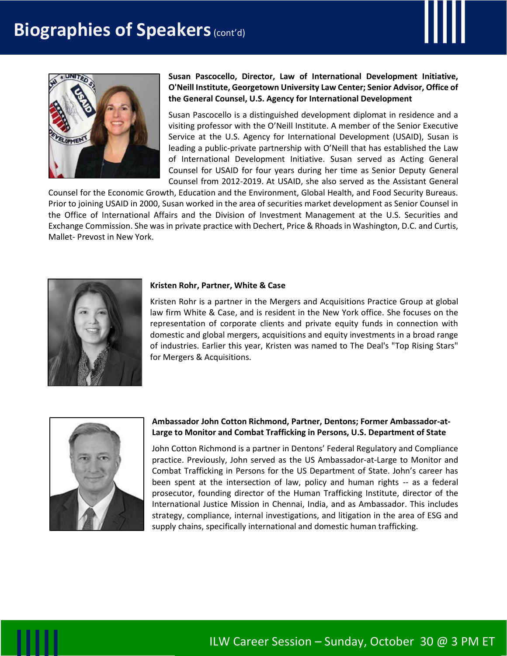



**Susan Pascocello, Director, Law of International Development Initiative, O'Neill Institute, Georgetown University Law Center; Senior Advisor, Office of the General Counsel, U.S. Agency for International Development**

Susan Pascocello is a distinguished development diplomat in residence and a visiting professor with the O'Neill Institute. A member of the Senior Executive Service at the U.S. Agency for International Development (USAID), Susan is leading a public-private partnership with O'Neill that has established the Law of International Development Initiative. Susan served as Acting General Counsel for USAID for four years during her time as Senior Deputy General Counsel from 2012-2019. At USAID, she also served as the Assistant General

Counsel for the Economic Growth, Education and the Environment, Global Health, and Food Security Bureaus. Prior to joining USAID in 2000, Susan worked in the area of securities market development as Senior Counsel in the Office of International Affairs and the Division of Investment Management at the U.S. Securities and Exchange Commission. She was in private practice with Dechert, Price & Rhoads in Washington, D.C. and Curtis, Mallet- Prevost in New York.



#### **Kristen Rohr, Partner, White & Case**

Kristen Rohr is a partner in the Mergers and Acquisitions Practice Group at global law firm White & Case, and is resident in the New York office. She focuses on the representation of corporate clients and private equity funds in connection with domestic and global mergers, acquisitions and equity investments in a broad range of industries. Earlier this year, Kristen was named to The Deal's "Top Rising Stars" for Mergers & Acquisitions.



#### **Ambassador John Cotton Richmond, Partner, Dentons; Former Ambassador-at-Large to Monitor and Combat Trafficking in Persons, U.S. Department of State**

John Cotton Richmond is a partner in Dentons' Federal Regulatory and Compliance practice. Previously, John served as the US Ambassador-at-Large to Monitor and Combat Trafficking in Persons for the US Department of State. John's career has been spent at the intersection of law, policy and human rights -- as a federal prosecutor, founding director of the Human Trafficking Institute, director of the International Justice Mission in Chennai, India, and as Ambassador. This includes strategy, compliance, internal investigations, and litigation in the area of ESG and supply chains, specifically international and domestic human trafficking.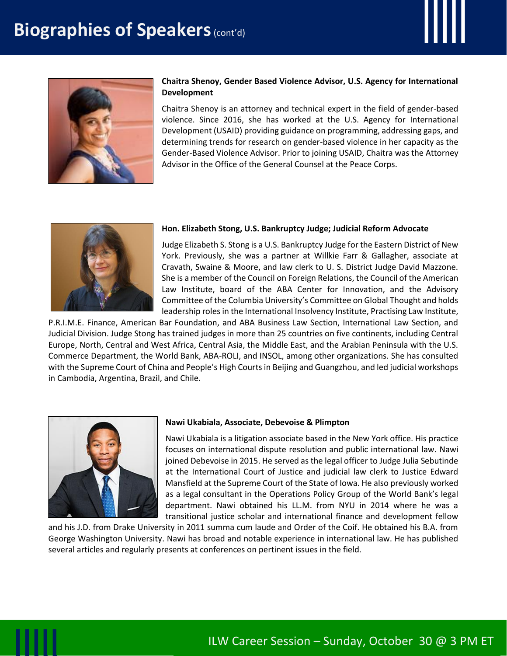



#### **Chaitra Shenoy, Gender Based Violence Advisor, U.S. Agency for International Development**

Chaitra Shenoy is an attorney and technical expert in the field of gender-based violence. Since 2016, she has worked at the U.S. Agency for International Development (USAID) providing guidance on programming, addressing gaps, and determining trends for research on gender-based violence in her capacity as the Gender-Based Violence Advisor. Prior to joining USAID, Chaitra was the Attorney Advisor in the Office of the General Counsel at the Peace Corps.



#### **Hon. Elizabeth Stong, U.S. Bankruptcy Judge; Judicial Reform Advocate**

Judge Elizabeth S. Stong is a U.S. Bankruptcy Judge for the Eastern District of New York. Previously, she was a partner at Willkie Farr & Gallagher, associate at Cravath, Swaine & Moore, and law clerk to U. S. District Judge David Mazzone. She is a member of the Council on Foreign Relations, the Council of the American Law Institute, board of the ABA Center for Innovation, and the Advisory Committee of the Columbia University's Committee on Global Thought and holds leadership roles in the International Insolvency Institute, Practising Law Institute,

P.R.I.M.E. Finance, American Bar Foundation, and ABA Business Law Section, International Law Section, and Judicial Division. Judge Stong has trained judges in more than 25 countries on five continents, including Central Europe, North, Central and West Africa, Central Asia, the Middle East, and the Arabian Peninsula with the U.S. Commerce Department, the World Bank, ABA-ROLI, and INSOL, among other organizations. She has consulted with the Supreme Court of China and People's High Courts in Beijing and Guangzhou, and led judicial workshops in Cambodia, Argentina, Brazil, and Chile.



#### **Nawi Ukabiala, Associate, Debevoise & Plimpton**

Nawi Ukabiala is a litigation associate based in the New York office. His practice focuses on international dispute resolution and public international law. Nawi joined Debevoise in 2015. He served as the legal officer to Judge Julia Sebutinde at the International Court of Justice and judicial law clerk to Justice Edward Mansfield at the Supreme Court of the State of Iowa. He also previously worked as a legal consultant in the Operations Policy Group of the World Bank's legal department. Nawi obtained his LL.M. from NYU in 2014 where he was a transitional justice scholar and international finance and development fellow

and his J.D. from Drake University in 2011 summa cum laude and Order of the Coif. He obtained his B.A. from George Washington University. Nawi has broad and notable experience in international law. He has published several articles and regularly presents at conferences on pertinent issues in the field.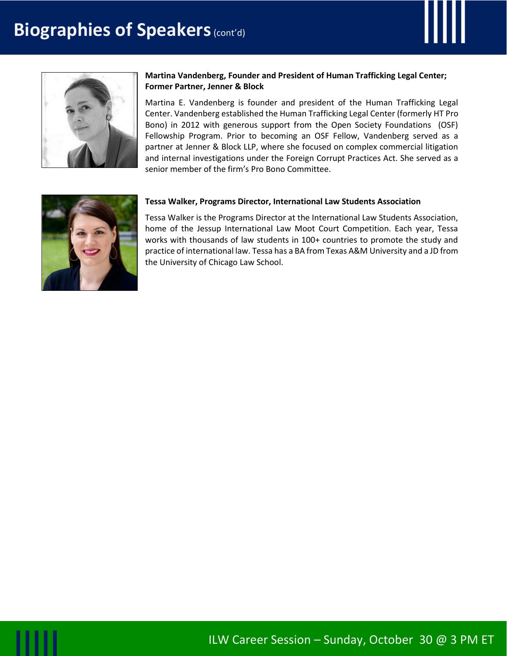



#### **Martina Vandenberg, Founder and President of Human Trafficking Legal Center; Former Partner, Jenner & Block**

Martina E. Vandenberg is founder and president of the Human Trafficking Legal Center. Vandenberg established the Human Trafficking Legal Center (formerly HT Pro Bono) in 2012 with generous support from the Open Society Foundations (OSF) Fellowship Program. Prior to becoming an OSF Fellow, Vandenberg served as a partner at Jenner & Block LLP, where she focused on complex commercial litigation and internal investigations under the Foreign Corrupt Practices Act. She served as a senior member of the firm's Pro Bono Committee.



#### **Tessa Walker, Programs Director, International Law Students Association**

Tessa Walker is the Programs Director at the International Law Students Association, home of the Jessup International Law Moot Court Competition. Each year, Tessa works with thousands of law students in 100+ countries to promote the study and practice of international law. Tessa has a BA from Texas A&M University and a JD from the University of Chicago Law School.